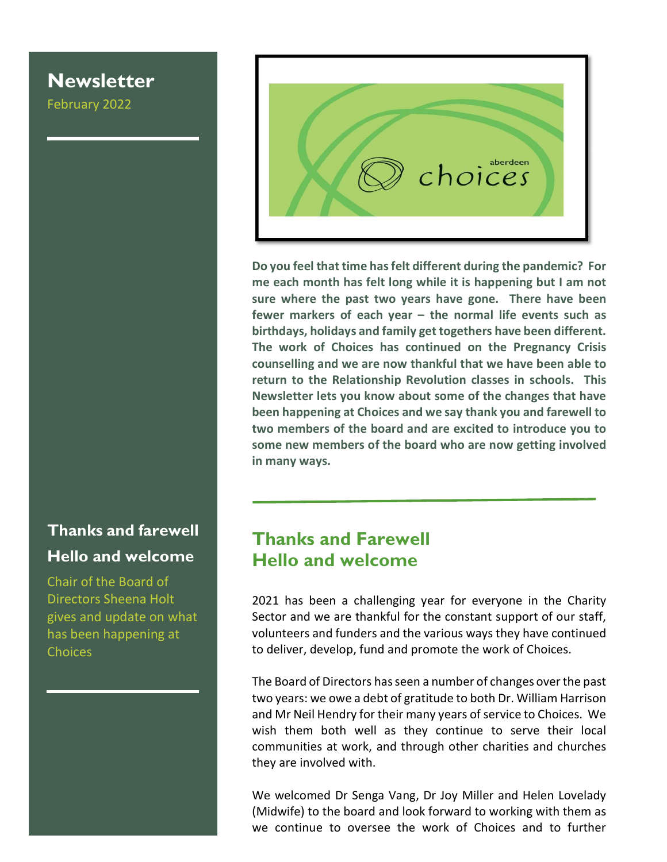# **Newsletter**

February 2022

# Thanks and farewell Hello and welcome

Chair of the Board of Directors Sheena Holt gives and update on what has been happening at **Choices** 



Do you feel that time has felt different during the pandemic? For me each month has felt long while it is happening but I am not sure where the past two years have gone. There have been fewer markers of each year – the normal life events such as birthdays, holidays and family get togethers have been different. The work of Choices has continued on the Pregnancy Crisis counselling and we are now thankful that we have been able to return to the Relationship Revolution classes in schools. This Newsletter lets you know about some of the changes that have been happening at Choices and we say thank you and farewell to two members of the board and are excited to introduce you to some new members of the board who are now getting involved in many ways.

## Thanks and Farewell Hello and welcome

2021 has been a challenging year for everyone in the Charity Sector and we are thankful for the constant support of our staff, volunteers and funders and the various ways they have continued to deliver, develop, fund and promote the work of Choices.

The Board of Directors has seen a number of changes over the past two years: we owe a debt of gratitude to both Dr. William Harrison and Mr Neil Hendry for their many years of service to Choices. We wish them both well as they continue to serve their local communities at work, and through other charities and churches they are involved with.

We welcomed Dr Senga Vang, Dr Joy Miller and Helen Lovelady (Midwife) to the board and look forward to working with them as we continue to oversee the work of Choices and to further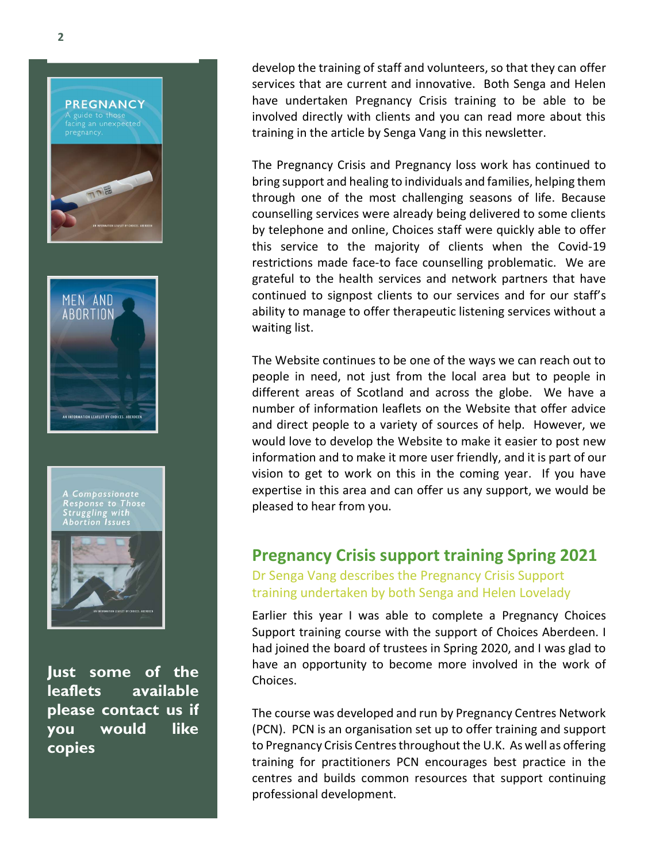



Just some of the leaflets available please contact us if you would like copies

develop the training of staff and volunteers, so that they can offer services that are current and innovative. Both Senga and Helen have undertaken Pregnancy Crisis training to be able to be involved directly with clients and you can read more about this training in the article by Senga Vang in this newsletter.

The Pregnancy Crisis and Pregnancy loss work has continued to bring support and healing to individuals and families, helping them through one of the most challenging seasons of life. Because counselling services were already being delivered to some clients by telephone and online, Choices staff were quickly able to offer this service to the majority of clients when the Covid-19 restrictions made face-to face counselling problematic. We are grateful to the health services and network partners that have continued to signpost clients to our services and for our staff's ability to manage to offer therapeutic listening services without a waiting list.

The Website continues to be one of the ways we can reach out to people in need, not just from the local area but to people in different areas of Scotland and across the globe. We have a number of information leaflets on the Website that offer advice and direct people to a variety of sources of help. However, we would love to develop the Website to make it easier to post new information and to make it more user friendly, and it is part of our vision to get to work on this in the coming year. If you have expertise in this area and can offer us any support, we would be pleased to hear from you.

#### Pregnancy Crisis support training Spring 2021 Dr Senga Vang describes the Pregnancy Crisis Support training undertaken by both Senga and Helen Lovelady

Earlier this year I was able to complete a Pregnancy Choices Support training course with the support of Choices Aberdeen. I had joined the board of trustees in Spring 2020, and I was glad to have an opportunity to become more involved in the work of Choices.

The course was developed and run by Pregnancy Centres Network (PCN). PCN is an organisation set up to offer training and support to Pregnancy Crisis Centres throughout the U.K. As well as offering training for practitioners PCN encourages best practice in the centres and builds common resources that support continuing professional development.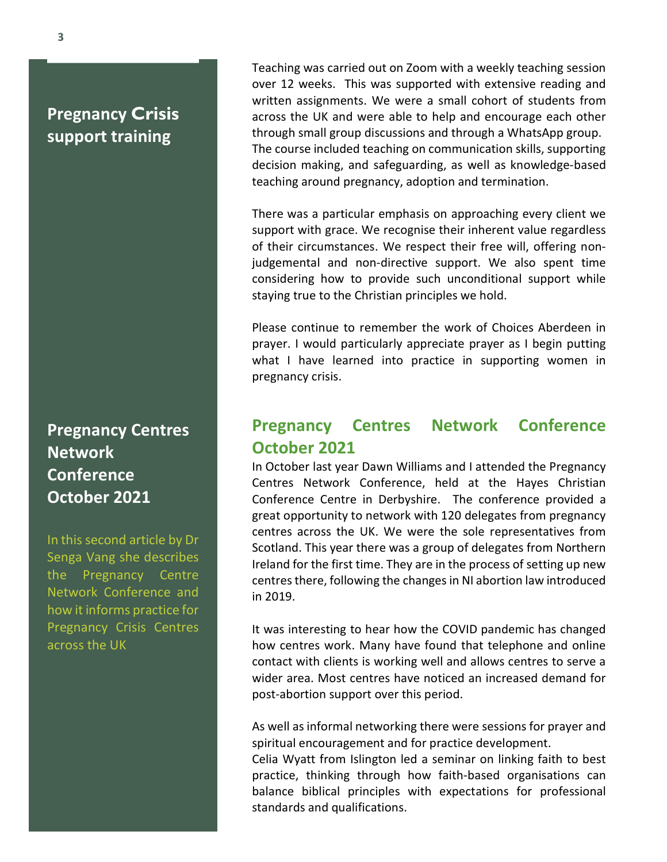# Pregnancy Crisis support training

# Pregnancy Centres **Network Conference** October 2021

In this second article by Dr Senga Vang she describes the Pregnancy Centre Network Conference and how it informs practice for Pregnancy Crisis Centres across the UK

Teaching was carried out on Zoom with a weekly teaching session over 12 weeks. This was supported with extensive reading and written assignments. We were a small cohort of students from across the UK and were able to help and encourage each other through small group discussions and through a WhatsApp group. The course included teaching on communication skills, supporting decision making, and safeguarding, as well as knowledge-based teaching around pregnancy, adoption and termination.

There was a particular emphasis on approaching every client we support with grace. We recognise their inherent value regardless of their circumstances. We respect their free will, offering nonjudgemental and non-directive support. We also spent time considering how to provide such unconditional support while staying true to the Christian principles we hold.

Please continue to remember the work of Choices Aberdeen in prayer. I would particularly appreciate prayer as I begin putting what I have learned into practice in supporting women in pregnancy crisis.

### Pregnancy Centres Network Conference October 2021

In October last year Dawn Williams and I attended the Pregnancy Centres Network Conference, held at the Hayes Christian Conference Centre in Derbyshire. The conference provided a great opportunity to network with 120 delegates from pregnancy centres across the UK. We were the sole representatives from Scotland. This year there was a group of delegates from Northern Ireland for the first time. They are in the process of setting up new centres there, following the changes in NI abortion law introduced in 2019.

It was interesting to hear how the COVID pandemic has changed how centres work. Many have found that telephone and online contact with clients is working well and allows centres to serve a wider area. Most centres have noticed an increased demand for post-abortion support over this period.

As well as informal networking there were sessions for prayer and spiritual encouragement and for practice development.

Celia Wyatt from Islington led a seminar on linking faith to best practice, thinking through how faith-based organisations can balance biblical principles with expectations for professional standards and qualifications.